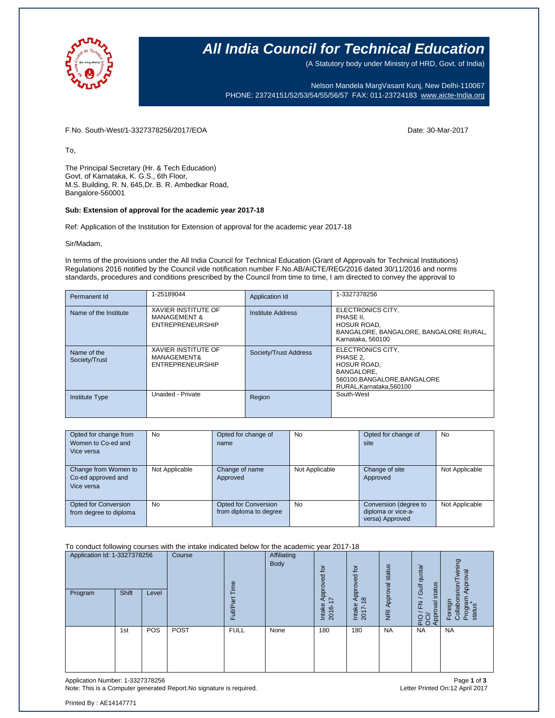

### **All India Council for Technical Education**

(A Statutory body under Ministry of HRD, Govt. of India)

Nelson Mandela MargVasant Kunj, New Delhi-110067 PHONE: 23724151/52/53/54/55/56/57 FAX: 011-23724183 [www.aicte-India.org](http://www.aicte-india.org/)

F.No. South-West/1-3327378256/2017/EOA Date: 30-Mar-2017

To,

The Principal Secretary (Hr. & Tech Education) Govt. of Karnataka, K. G.S., 6th Floor, M.S. Building, R. N. 645,Dr. B. R. Ambedkar Road, Bangalore-560001

#### **Sub: Extension of approval for the academic year 2017-18**

Ref: Application of the Institution for Extension of approval for the academic year 2017-18

Sir/Madam,

In terms of the provisions under the All India Council for Technical Education (Grant of Approvals for Technical Institutions) Regulations 2016 notified by the Council vide notification number F.No.AB/AICTE/REG/2016 dated 30/11/2016 and norms standards, procedures and conditions prescribed by the Council from time to time, I am directed to convey the approval to

| Permanent Id                 | 1-25189044                                                                       | Application Id           | 1-3327378256                                                                                                                       |
|------------------------------|----------------------------------------------------------------------------------|--------------------------|------------------------------------------------------------------------------------------------------------------------------------|
| Name of the Institute        | <b>XAVIER INSTITUTE OF</b><br><b>MANAGEMENT &amp;</b><br><b>ENTREPRENEURSHIP</b> | <b>Institute Address</b> | ELECTRONICS CITY.<br>PHASE II.<br><b>HOSUR ROAD.</b><br>BANGALORE, BANGALORE, BANGALORE RURAL,<br>Karnataka, 560100                |
| Name of the<br>Society/Trust | <b>XAVIER INSTITUTE OF</b><br><b>MANAGEMENT&amp;</b><br><b>ENTREPRENEURSHIP</b>  | Society/Trust Address    | ELECTRONICS CITY.<br>PHASE 2.<br><b>HOSUR ROAD,</b><br><b>BANGALORE.</b><br>560100, BANGALORE, BANGALORE<br>RURAL.Karnataka.560100 |
| <b>Institute Type</b>        | Unaided - Private                                                                | Region                   | South-West                                                                                                                         |

| Opted for change from<br>Women to Co-ed and<br>Vice versa | <b>No</b>      | Opted for change of<br>name                    | <b>No</b>      | Opted for change of<br>site                                    | <b>No</b>      |
|-----------------------------------------------------------|----------------|------------------------------------------------|----------------|----------------------------------------------------------------|----------------|
| Change from Women to<br>Co-ed approved and<br>Vice versa  | Not Applicable | Change of name<br>Approved                     | Not Applicable | Change of site<br>Approved                                     | Not Applicable |
| Opted for Conversion<br>from degree to diploma            | <b>No</b>      | Opted for Conversion<br>from diploma to degree | <b>No</b>      | Conversion (degree to<br>diploma or vice-a-<br>versa) Approved | Not Applicable |

#### To conduct following courses with the intake indicated below for the academic year 2017-18

| Application Id: 1-3327378256<br>Program | Shift | Level | Course | eui<br>ω<br>Full/P <sub>i</sub> | <b>Affiliating</b><br>Body | ίō<br>g<br>Approve<br>$\overline{\phantom{0}}$<br>Intake<br>2016- | Approved for<br>$\infty$<br>Intake<br>2017 | status<br>Approval<br>$\overline{g}$ | Gulf quota/<br>status<br>F <sub>N</sub><br>PIO / FN.<br>OCI/<br>Approval | wining<br>Approval<br>rarion/<br>Program<br>status<br>Foreign<br>Collabor |
|-----------------------------------------|-------|-------|--------|---------------------------------|----------------------------|-------------------------------------------------------------------|--------------------------------------------|--------------------------------------|--------------------------------------------------------------------------|---------------------------------------------------------------------------|
|                                         | 1st   | POS   | POST   | <b>FULL</b>                     | None                       | 180                                                               | 180                                        | <b>NA</b>                            | <b>NA</b>                                                                | <b>NA</b>                                                                 |

Application Number: 1-3327378256 Page **1** of **3** Note: This is a Computer generated Report.No signature is required.

Printed By : AE14147771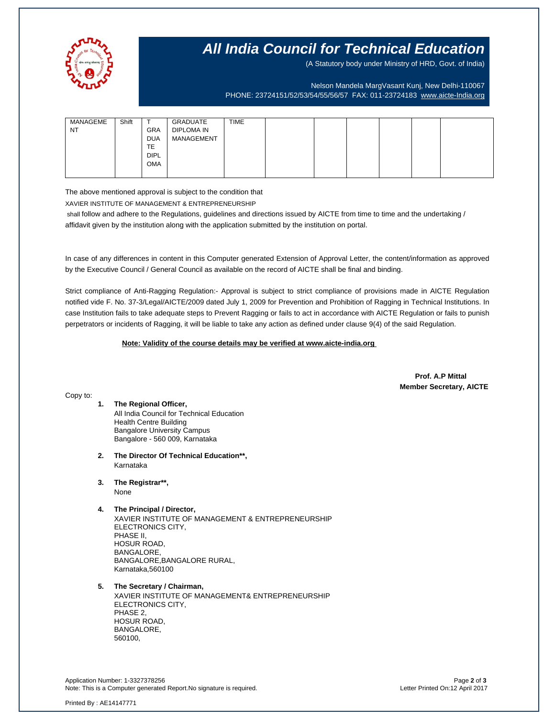

## **All India Council for Technical Education**

(A Statutory body under Ministry of HRD, Govt. of India)

Nelson Mandela MargVasant Kunj, New Delhi-110067 PHONE: 23724151/52/53/54/55/56/57 FAX: 011-23724183 [www.aicte-India.org](http://www.aicte-india.org/)

| MANAGEME<br><b>NT</b> | Shift | $\mathbf \tau$<br><b>GRA</b><br><b>DUA</b> | GRADUATE<br><b>DIPLOMA IN</b><br>MANAGEMENT | <b>TIME</b> |  |  |  |
|-----------------------|-------|--------------------------------------------|---------------------------------------------|-------------|--|--|--|
|                       |       | TE                                         |                                             |             |  |  |  |
|                       |       | <b>DIPL</b>                                |                                             |             |  |  |  |
|                       |       | <b>OMA</b>                                 |                                             |             |  |  |  |
|                       |       |                                            |                                             |             |  |  |  |

The above mentioned approval is subject to the condition that

XAVIER INSTITUTE OF MANAGEMENT & ENTREPRENEURSHIP

shall follow and adhere to the Regulations, guidelines and directions issued by AICTE from time to time and the undertaking / affidavit given by the institution along with the application submitted by the institution on portal.

In case of any differences in content in this Computer generated Extension of Approval Letter, the content/information as approved by the Executive Council / General Council as available on the record of AICTE shall be final and binding.

Strict compliance of Anti-Ragging Regulation:- Approval is subject to strict compliance of provisions made in AICTE Regulation notified vide F. No. 37-3/Legal/AICTE/2009 dated July 1, 2009 for Prevention and Prohibition of Ragging in Technical Institutions. In case Institution fails to take adequate steps to Prevent Ragging or fails to act in accordance with AICTE Regulation or fails to punish perpetrators or incidents of Ragging, it will be liable to take any action as defined under clause 9(4) of the said Regulation.

 **Note: Validity of the course details may be verified at www.aicte-india.org** 

 **Prof. A.P Mittal Member Secretary, AICTE**

Copy to:

- **1. The Regional Officer,** All India Council for Technical Education Health Centre Building Bangalore University Campus Bangalore - 560 009, Karnataka
- **2. The Director Of Technical Education\*\*,** Karnataka
- **3. The Registrar\*\*,**

None

- **4. The Principal / Director,** XAVIER INSTITUTE OF MANAGEMENT & ENTREPRENEURSHIP ELECTRONICS CITY, PHASE II, HOSUR ROAD, BANGALORE, BANGALORE,BANGALORE RURAL, Karnataka,560100
- **5. The Secretary / Chairman,**

XAVIER INSTITUTE OF MANAGEMENT& ENTREPRENEURSHIP ELECTRONICS CITY, PHASE 2, HOSUR ROAD, BANGALORE, 560100,

Application Number: 1-3327378256 Page **2** of **3** Note: This is a Computer generated Report.No signature is required.